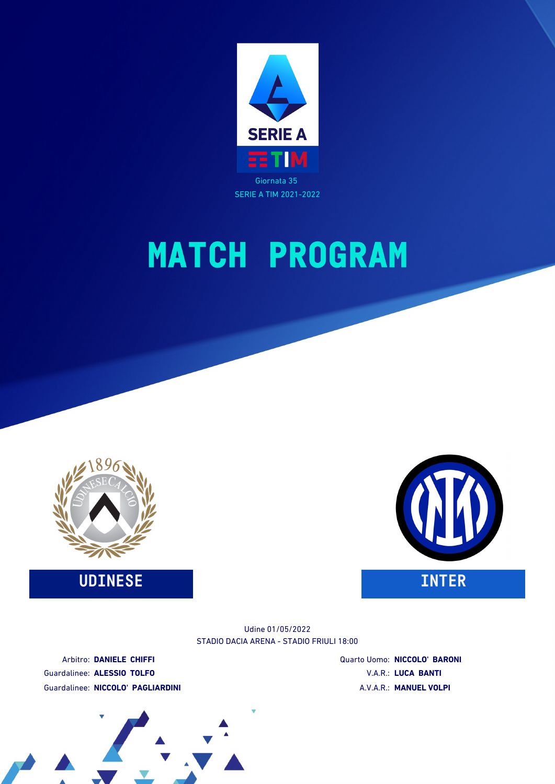





Udine 01/05/2022

STADIO DACIA ARENA - STADIO FRIULI 18:00

Arbitro: **DANIELE CHIFFI** Guardalinee: **ALESSIO TOLFO** Guardalinee: **NICCOLO' PAGLIARDINI** Quarto Uomo: **NICCOLO' BARONI** V.A.R.: **LUCA BANTI** A.V.A.R.: **MANUEL VOLPI**

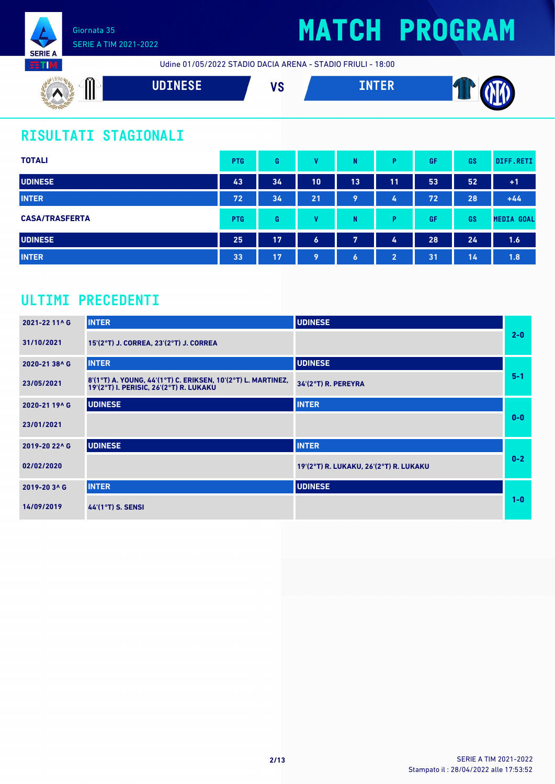

## **MATCH PROGRAM**

Udine 01/05/2022 STADIO DACIA ARENA - STADIO FRIULI - 18:00



### **RISULTATI STAGIONALI**

| <b>TOTALI</b>         | <b>PTG</b> | G  | v                | N  | P              | GF | <b>GS</b> | DIFF.RETI         |
|-----------------------|------------|----|------------------|----|----------------|----|-----------|-------------------|
| <b>UDINESE</b>        | 43         | 34 | 10               | 13 | 11             | 53 | 52        | $+1$              |
| <b>INTER</b>          | 72         | 34 | 21               | 9  | 4              | 72 | 28        | $+44$             |
| <b>CASA/TRASFERTA</b> | <b>PTG</b> | G  | $\mathbf{u}$     | N  | P              | GF | GS        | <b>MEDIA GOAL</b> |
| <b>UDINESE</b>        | 25         | 17 | $\boldsymbol{6}$ | 7  | 4              | 28 | 24        | 1.6               |
| <b>INTER</b>          | 33         | 17 | 9                | 6  | $\overline{2}$ | 31 | 14        | 1.8               |

### **ULTIMI PRECEDENTI**

| 2021-22 11^ G | <b>INTER</b>                                                                                            | <b>UDINESE</b>                         |         |
|---------------|---------------------------------------------------------------------------------------------------------|----------------------------------------|---------|
| 31/10/2021    | 15'(2°T) J. CORREA, 23'(2°T) J. CORREA                                                                  |                                        | $2-0$   |
| 2020-21 38^ G | <b>INTER</b>                                                                                            | <b>UDINESE</b>                         |         |
| 23/05/2021    | 8'(1°T) A. YOUNG, 44'(1°T) C. ERIKSEN, 10'(2°T) L. MARTINEZ,<br>19'(2°T) I. PERISIC, 26'(2°T) R. LUKAKU | 34'(2°T) R. PEREYRA                    | $5 - 1$ |
| 2020-21 19^ G | <b>UDINESE</b>                                                                                          | <b>INTER</b>                           |         |
| 23/01/2021    |                                                                                                         |                                        | $0 - 0$ |
| 2019-20 22^ G | <b>UDINESE</b>                                                                                          | <b>INTER</b>                           |         |
| 02/02/2020    |                                                                                                         | 19'(2°T) R. LUKAKU, 26'(2°T) R. LUKAKU | $0-2$   |
| 2019-20 3^ G  | <b>INTER</b>                                                                                            | <b>UDINESE</b>                         |         |
| 14/09/2019    | 44'(1°T) S. SENSI                                                                                       |                                        | $1-0$   |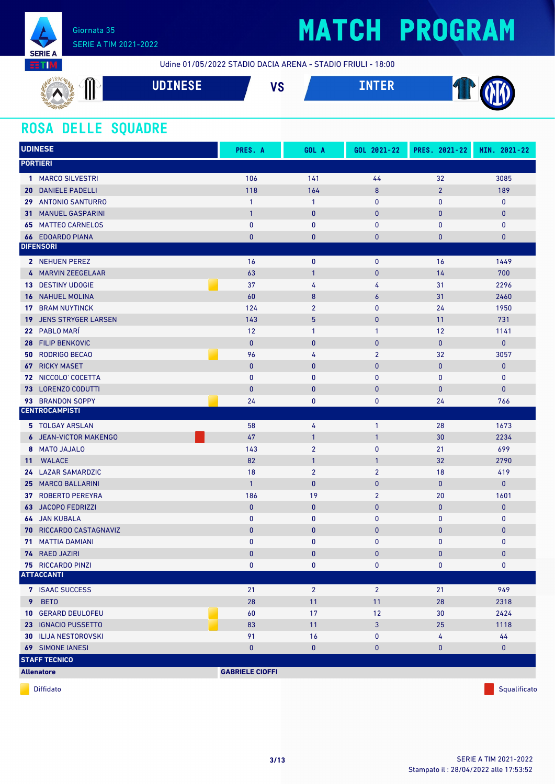

Udine 01/05/2022 STADIO DACIA ARENA - STADIO FRIULI - 18:00

| $00-$<br>◚<br>III<br>1<br>▰<br>- | $\begin{array}{c}\n\hline\n\end{array}$<br>, , , , , , , , , | ۱IO<br>V J | ______<br>-- | --<br>▽ |
|----------------------------------|--------------------------------------------------------------|------------|--------------|---------|
| $\rightarrow$                    |                                                              |            |              |         |

#### **ROSA DELLE SQUADRE**

| <b>UDINESE</b>                         | PRES. A                | GOL A           | GOL 2021-22      | PRES. 2021-22  | MIN. 2021-22 |
|----------------------------------------|------------------------|-----------------|------------------|----------------|--------------|
| <b>PORTIERI</b>                        |                        |                 |                  |                |              |
| 1 MARCO SILVESTRI                      | 106                    | 141             | 44               | 32             | 3085         |
| <b>20 DANIELE PADELLI</b>              | 118                    | 164             | $\boldsymbol{8}$ | $\overline{2}$ | 189          |
| 29 ANTONIO SANTURRO                    | $\mathbf{1}$           | $\mathbf{1}$    | $\mathbf{0}$     | $\mathbf{0}$   | $\mathbf 0$  |
| <b>MANUEL GASPARINI</b><br>31          | $\overline{1}$         | $\pmb{0}$       | $\pmb{0}$        | $\mathbf{0}$   | $\bf{0}$     |
| <b>MATTEO CARNELOS</b><br>65           | $\pmb{0}$              | $\pmb{0}$       | $\pmb{0}$        | $\mathbf 0$    | $\mathbf 0$  |
| <b>66 EDOARDO PIANA</b>                | $\mathbf{0}$           | $\bf{0}$        | 0                | $\bf{0}$       | $\bf{0}$     |
| <b>DIFENSORI</b>                       |                        |                 |                  |                |              |
| 2 NEHUEN PEREZ                         | 16                     | 0               | $\mathbf 0$      | 16             | 1449         |
| 4 MARVIN ZEEGELAAR                     | 63                     | $\mathbf{1}$    | $\mathbf{0}$     | 14             | 700          |
| <b>13 DESTINY UDOGIE</b>               | 37                     | 4               | 4                | 31             | 2296         |
| <b>16 NAHUEL MOLINA</b>                | 60                     | 8               | $\boldsymbol{6}$ | 31             | 2460         |
| <b>BRAM NUYTINCK</b><br>17             | 124                    | $\overline{2}$  | $\mathbf{0}$     | 24             | 1950         |
| <b>JENS STRYGER LARSEN</b><br>19       | 143                    | $5\phantom{.0}$ | $\pmb{0}$        | 11             | 731          |
| PABLO MARÍ<br>22 <sub>2</sub>          | 12                     | $\mathbf{1}$    | $\mathbf{1}$     | 12             | 1141         |
| <b>FILIP BENKOVIC</b><br>28            | $\mathbf{0}$           | $\mathbf 0$     | $\pmb{0}$        | $\mathbf{0}$   | $\mathbf{0}$ |
| <b>RODRIGO BECAO</b><br>50             | 96                     | 4               | $\overline{2}$   | 32             | 3057         |
| <b>RICKY MASET</b><br>67               | $\pmb{0}$              | $\pmb{0}$       | $\pmb{0}$        | $\mathbf{0}$   | $\pmb{0}$    |
| 72 NICCOLO' COCETTA                    | $\mathbf{0}$           | $\mathbf{0}$    | $\mathbf{0}$     | $\mathbf 0$    | $\mathbf 0$  |
| <b>LORENZO CODUTTI</b><br>73           | $\pmb{0}$              | $\bf{0}$        | $\bf{0}$         | $\bf{0}$       | $\mathbf{0}$ |
| <b>BRANDON SOPPY</b><br>93             | 24                     | $\pmb{0}$       | 0                | 24             | 766          |
| <b>CENTROCAMPISTI</b>                  |                        |                 |                  |                |              |
| 5 TOLGAY ARSLAN                        | 58                     | 4               | $\mathbf{1}$     | 28             | 1673         |
| <b>6 JEAN-VICTOR MAKENGO</b>           | 47                     | $\mathbf{1}$    | $\mathbf{1}$     | 30             | 2234         |
| <b>MATO JAJALO</b><br>8                | 143                    | $\overline{2}$  | $\mathbf{0}$     | 21             | 699          |
| <b>WALACE</b><br>11                    | 82                     | $\mathbf{1}$    | $\mathbf{1}$     | 32             | 2790         |
| 24 LAZAR SAMARDZIC                     | 18                     | $\overline{2}$  | $\overline{2}$   | 18             | 419          |
| 25 MARCO BALLARINI                     | $\mathbf{1}$           | $\mathbf{0}$    | $\mathbf{0}$     | $\mathbf{0}$   | $\mathbf{0}$ |
| <b>ROBERTO PEREYRA</b><br>37           | 186                    | 19              | $\overline{2}$   | 20             | 1601         |
| <b>JACOPO FEDRIZZI</b><br>63           | $\mathbf{0}$           | $\pmb{0}$       | $\bf{0}$         | $\bf{0}$       | $\pmb{0}$    |
| <b>64 JAN KUBALA</b>                   | $\pmb{0}$              | 0               | 0                | $\bf{0}$       | $\mathbf 0$  |
| RICCARDO CASTAGNAVIZ<br>70             | $\mathbf{0}$           | $\pmb{0}$       | $\mathbf{0}$     | $\mathbf{0}$   | $\mathbf{0}$ |
| <b>MATTIA DAMIANI</b><br>71            | $\mathbf{0}$           | $\bf{0}$        | 0                | $\pmb{0}$      | $\pmb{0}$    |
| 74 RAED JAZIRI                         | $\overline{0}$         | $\bf{0}$        | 0                | $\bf{0}$       | $\bf{0}$     |
| 75 RICCARDO PINZI<br><b>ATTACCANTI</b> | $\mathbf 0$            | 0               | $\bf{0}$         | 0              | 0            |
|                                        |                        |                 |                  |                |              |
| 7 ISAAC SUCCESS                        | 21                     | $\overline{2}$  | $\overline{2}$   | 21             | 949          |
| 9 BETO                                 | 28                     | 11              | 11               | 28             | 2318         |
| 10 GERARD DEULOFEU                     | 60                     | 17              | 12               | 30             | 2424         |
| 23 IGNACIO PUSSETTO                    | 83                     | 11              | $\mathbf{3}$     | 25             | 1118         |
| <b>30 ILIJA NESTOROVSKI</b>            | 91                     | 16              | 0                | 4              | 44           |
| <b>69 SIMONE IANESI</b>                | $\mathbf{0}$           | $\pmb{0}$       | $\mathbf{0}$     | $\mathbf{0}$   | $\mathbf{0}$ |
| <b>STAFF TECNICO</b>                   |                        |                 |                  |                |              |
| <b>Allenatore</b>                      | <b>GABRIELE CIOFFI</b> |                 |                  |                |              |

diffidato de la contradicción de la contradicción de la contradicción de la contradicción de la contradicción de Squalificato de la contradicción de la contradicción de la contradicción de la contradicción de la contradicc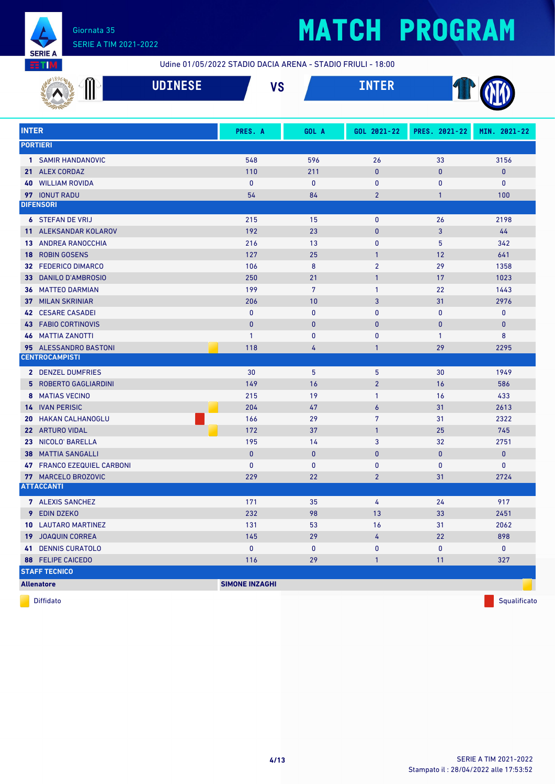

Udine 01/05/2022 STADIO DACIA ARENA - STADIO FRIULI - 18:00

|              |                                   | <b>UDINESE</b> | <b>VS</b>             |                 | <b>INTER</b>   |               |              |
|--------------|-----------------------------------|----------------|-----------------------|-----------------|----------------|---------------|--------------|
| <b>INTER</b> |                                   |                | PRES. A               | GOL A           | GOL 2021-22    | PRES. 2021-22 | MIN. 2021-22 |
|              | <b>PORTIERI</b>                   |                |                       |                 |                |               |              |
|              |                                   |                |                       |                 |                |               |              |
|              | 1 SAMIR HANDANOVIC                |                | 548                   | 596             | 26             | 33            | 3156         |
|              | 21 ALEX CORDAZ                    |                | 110                   | 211             | $\bf{0}$       | $\mathbf{0}$  | $\pmb{0}$    |
| 40           | <b>WILLIAM ROVIDA</b>             |                | $\mathbf{0}$          | 0               | 0              | $\bf{0}$      | $\mathbf 0$  |
|              | 97 IONUT RADU<br><b>DIFENSORI</b> |                | 54                    | 84              | $\overline{2}$ | 1             | 100          |
|              |                                   |                |                       |                 |                |               |              |
|              | <b>6 STEFAN DE VRIJ</b>           |                | 215                   | 15              | 0              | 26            | 2198         |
| 11.          | ALEKSANDAR KOLAROV                |                | 192                   | 23              | $\pmb{0}$      | 3             | 44           |
| 13           | ANDREA RANOCCHIA                  |                | 216                   | 13              | $\mathbf{0}$   | 5             | 342          |
| 18           | <b>ROBIN GOSENS</b>               |                | 127                   | 25              | $\mathbf{1}$   | 12            | 641          |
| 32           | <b>FEDERICO DIMARCO</b>           |                | 106                   | 8               | $\overline{2}$ | 29            | 1358         |
| 33           | <b>DANILO D'AMBROSIO</b>          |                | 250                   | 21              | $\mathbf{1}$   | 17            | 1023         |
| 36           | <b>MATTEO DARMIAN</b>             |                | 199                   | $7\overline{ }$ | $\mathbf{1}$   | 22            | 1443         |
| 37           | <b>MILAN SKRINIAR</b>             |                | 206                   | 10              | 3              | 31            | 2976         |
| 42           | <b>CESARE CASADEI</b>             |                | $\mathbf{0}$          | $\mathbf{0}$    | $\mathbf{0}$   | $\mathbf{0}$  | $\mathbf 0$  |
| 43           | <b>FABIO CORTINOVIS</b>           |                | $\mathbf{0}$          | $\mathbf{0}$    | $\mathbf{0}$   | $\mathbf{0}$  | $\mathbf{0}$ |
| 46           | <b>MATTIA ZANOTTI</b>             |                | $\mathbf{1}$          | $\mathbf{0}$    | 0              | $\mathbf{1}$  | 8            |
|              | 95 ALESSANDRO BASTONI             |                | 118                   | 4               | $\mathbf{1}$   | 29            | 2295         |
|              | <b>CENTROCAMPISTI</b>             |                |                       |                 |                |               |              |
|              | 2 DENZEL DUMFRIES                 |                | 30                    | 5               | 5              | 30            | 1949         |
| 5            | <b>ROBERTO GAGLIARDINI</b>        |                | 149                   | 16              | $\overline{2}$ | 16            | 586          |
| 8            | <b>MATIAS VECINO</b>              |                | 215                   | 19              | $\mathbf{1}$   | 16            | 433          |
|              | <b>14 IVAN PERISIC</b>            |                | 204                   | 47              | 6              | 31            | 2613         |
| 20           | <b>HAKAN CALHANOGLU</b>           |                | 166                   | 29              | $\overline{7}$ | 31            | 2322         |
|              | 22 ARTURO VIDAL                   |                | 172                   | 37              | $\mathbf{1}$   | 25            | 745          |
| 23           | NICOLO' BARELLA                   |                | 195                   | 14              | 3              | 32            | 2751         |
| 38           | <b>MATTIA SANGALLI</b>            |                | $\pmb{0}$             | $\bf{0}$        | $\pmb{0}$      | $\bf{0}$      | $\mathbf{0}$ |
| 47           | <b>FRANCO EZEQUIEL CARBONI</b>    |                | $\mathbf{0}$          | 0               | 0              | $\bf{0}$      | 0            |
|              | 77 MARCELO BROZOVIC               |                | 229                   | 22              | $\overline{2}$ | 31            | 2724         |
|              | <b>ATTACCANTI</b>                 |                |                       |                 |                |               |              |
|              | 7 ALEXIS SANCHEZ                  |                | 171                   | 35              | 4              | 24            | 917          |
|              | 9 EDIN DZEKO                      |                | 232                   | 98              | 13             | 33            | 2451         |
|              | 10 LAUTARO MARTINEZ               |                | 131                   | 53              | 16             | 31            | 2062         |
|              | <b>19 JOAQUIN CORREA</b>          |                | 145                   | 29              | 4              | 22            | 898          |
|              | <b>41 DENNIS CURATOLO</b>         |                | $\pmb{0}$             | $\mathbf 0$     | 0              | 0             | $\mathbf 0$  |
|              | 88 FELIPE CAICEDO                 |                | 116                   | 29              | $\mathbf{1}$   | 11            | 327          |
|              | <b>STAFF TECNICO</b>              |                |                       |                 |                |               |              |
|              | <b>Allenatore</b>                 |                | <b>SIMONE INZAGHI</b> |                 |                |               |              |

diffidato de la contradicción de la contradicción de la contradicción de la contradicción de la contradicción de Squalificato de la contradicción de la contradicción de la contradicción de la contradicción de la contradicc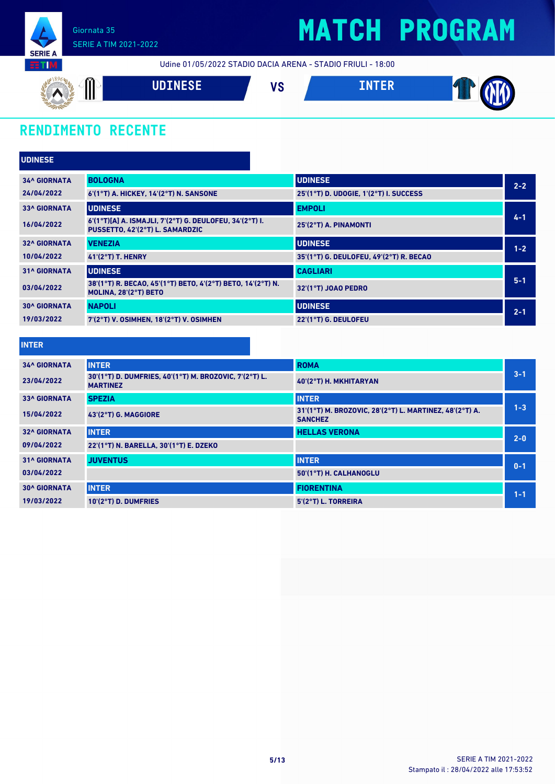

Udine 01/05/2022 STADIO DACIA ARENA - STADIO FRIULI - 18:00



### **RENDIMENTO RECENTE**

| <b>UDINESE</b>      |                                                                                            |                                         |         |
|---------------------|--------------------------------------------------------------------------------------------|-----------------------------------------|---------|
| <b>34^ GIORNATA</b> | <b>BOLOGNA</b>                                                                             | <b>UDINESE</b>                          | $2 - 2$ |
| 24/04/2022          | 6'(1°T) A. HICKEY, 14'(2°T) N. SANSONE                                                     | 25'(1°T) D. UDOGIE, 1'(2°T) I. SUCCESS  |         |
| <b>33^ GIORNATA</b> | <b>UDINESE</b>                                                                             | <b>EMPOLI</b>                           |         |
| 16/04/2022          | 6'(1°T)[A] A. ISMAJLI, 7'(2°T) G. DEULOFEU, 34'(2°T) I.<br>PUSSETTO, 42'(2°T) L. SAMARDZIC | 25'(2°T) A. PINAMONTI                   | $4 - 1$ |
| <b>32^ GIORNATA</b> | <b>VENEZIA</b>                                                                             | <b>UDINESE</b>                          | $1 - 2$ |
| 10/04/2022          | $41(2°T)$ T. HENRY                                                                         | 35'(1°T) G. DEULOFEU, 49'(2°T) R. BECAO |         |
| <b>31^ GIORNATA</b> | <b>UDINESE</b>                                                                             | <b>CAGLIARI</b>                         |         |
| 03/04/2022          | 38'(1°T) R. BECAO, 45'(1°T) BETO, 4'(2°T) BETO, 14'(2°T) N.<br>MOLINA, 28'(2°T) BETO       | 32'(1°T) JOAO PEDRO                     | $5 - 1$ |
| <b>30^ GIORNATA</b> | <b>NAPOLI</b>                                                                              | <b>UDINESE</b>                          | $2 - 1$ |
| 19/03/2022          | 7'(2°T) V. OSIMHEN, 18'(2°T) V. OSIMHEN                                                    | 22'(1°T) G. DEULOFEU                    |         |

| and the state of the state of the state of the state of the state of the state of the state of the state of th | and the state of the state of the state of the state of the state of the state of the state of the state of th |  |
|----------------------------------------------------------------------------------------------------------------|----------------------------------------------------------------------------------------------------------------|--|

| <b>34^ GIORNATA</b> | <b>INTER</b>                                                              | <b>ROMA</b>                                                               |         |
|---------------------|---------------------------------------------------------------------------|---------------------------------------------------------------------------|---------|
| 23/04/2022          | 30'(1°T) D. DUMFRIES, 40'(1°T) M. BROZOVIC, 7'(2°T) L.<br><b>MARTINEZ</b> | 40'(2°T) H. MKHITARYAN                                                    | $3 - 1$ |
| <b>33^ GIORNATA</b> | <b>SPEZIA</b>                                                             | <b>INTER</b>                                                              |         |
| 15/04/2022          | 43'(2°T) G. MAGGIORE                                                      | 31'(1°T) M. BROZOVIC, 28'(2°T) L. MARTINEZ, 48'(2°T) A.<br><b>SANCHEZ</b> | $1 - 3$ |
| <b>32^ GIORNATA</b> | <b>INTER</b>                                                              | <b>HELLAS VERONA</b>                                                      | $2 - 0$ |
| 09/04/2022          | 22'(1°T) N. BARELLA, 30'(1°T) E. DZEKO                                    |                                                                           |         |
| <b>31^ GIORNATA</b> | <b>JUVENTUS</b>                                                           | <b>INTER</b>                                                              | $0 - 1$ |
| 03/04/2022          |                                                                           | 50'(1°T) H. CALHANOGLU                                                    |         |
| <b>30^ GIORNATA</b> | <b>INTER</b>                                                              | <b>FIORENTINA</b>                                                         | $1 - 1$ |
| 19/03/2022          | 10'(2°T) D. DUMFRIES                                                      | 5'(2°T) L. TORREIRA                                                       |         |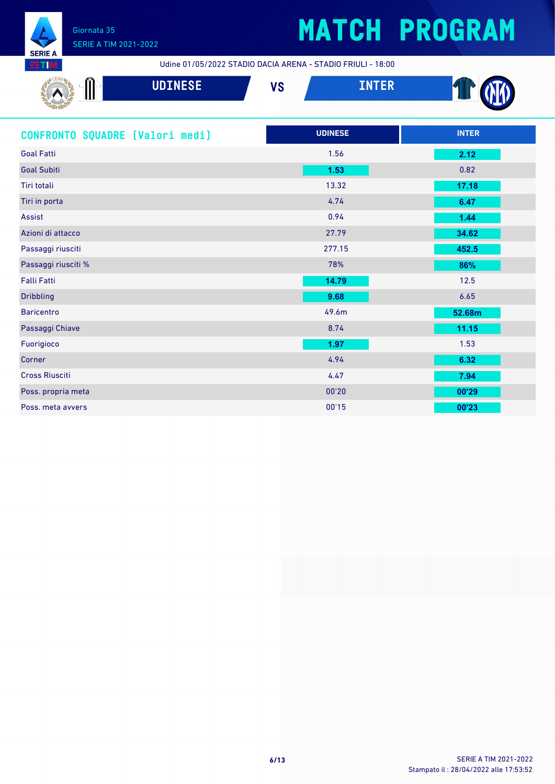

## **MATCH PROGRAM**

Udine 01/05/2022 STADIO DACIA ARENA - STADIO FRIULI - 18:00

| ൚<br>N.L<br>ш<br>S    | <b>NOTHECE</b><br>محتانات المسومة | 170<br>70 | ------ |  |
|-----------------------|-----------------------------------|-----------|--------|--|
| <b>Sec.</b><br>$\sim$ |                                   |           |        |  |

| CONFRONTO SQUADRE [Valori medi] | <b>UDINESE</b> | <b>INTER</b> |
|---------------------------------|----------------|--------------|
| <b>Goal Fatti</b>               | 1.56           | 2.12         |
| <b>Goal Subiti</b>              | 1.53           | 0.82         |
| Tiri totali                     | 13.32          | 17.18        |
| Tiri in porta                   | 4.74           | 6.47         |
| Assist                          | 0.94           | 1.44         |
| Azioni di attacco               | 27.79          | 34.62        |
| Passaggi riusciti               | 277.15         | 452.5        |
| Passaggi riusciti %             | 78%            | 86%          |
| <b>Falli Fatti</b>              | 14.79          | 12.5         |
| <b>Dribbling</b>                | 9.68           | 6.65         |
| <b>Baricentro</b>               | 49.6m          | 52.68m       |
| Passaggi Chiave                 | 8.74           | 11.15        |
| Fuorigioco                      | 1.97           | 1.53         |
| Corner                          | 4.94           | 6.32         |
| <b>Cross Riusciti</b>           | 4.47           | 7.94         |
| Poss. propria meta              | 00'20          | 00'29        |
| Poss, meta avvers               | 00'15          | 00'23        |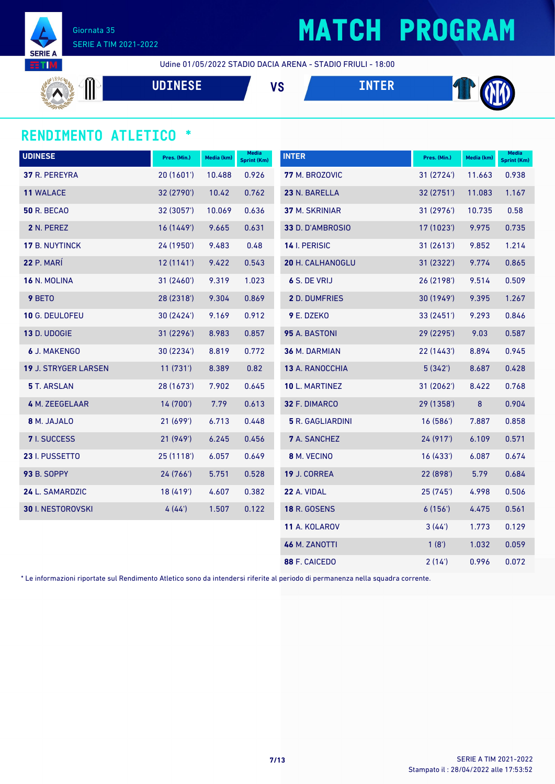

### **MATCH PROGRAM**

Udine 01/05/2022 STADIO DACIA ARENA - STADIO FRIULI - 18:00

 $\textcolor{black}{\mathrm{\textsf{m}}}$ **UDINESE VS INTER** 

#### **RENDIMENTO ATLETICO \***

| <b>UDINESE</b>              | Pres. (Min.) | Media (km) | Media<br><b>Sprint (Km)</b> | <b>INTER</b>            | Pres. (Min.) | Media (km) | <b>Media</b><br>Sprint (Km) |
|-----------------------------|--------------|------------|-----------------------------|-------------------------|--------------|------------|-----------------------------|
| 37 R. PEREYRA               | 20 (1601')   | 10.488     | 0.926                       | 77 M. BROZOVIC          | 31 (2724)    | 11.663     | 0.938                       |
| 11 WALACE                   | 32 (2790')   | 10.42      | 0.762                       | 23 N. BARELLA           | 32 (2751')   | 11.083     | 1.167                       |
| <b>50 R. BECAO</b>          | 32 (3057')   | 10.069     | 0.636                       | <b>37 M. SKRINIAR</b>   | 31 (2976')   | 10.735     | 0.58                        |
| 2 N. PEREZ                  | 16(1449)     | 9.665      | 0.631                       | 33 D. D'AMBROSIO        | 17 (1023')   | 9.975      | 0.735                       |
| 17 B. NUYTINCK              | 24 (1950')   | 9.483      | 0.48                        | 14 I. PERISIC           | 31(2613)     | 9.852      | 1.214                       |
| 22 P. MARÍ                  | 12(1141)     | 9.422      | 0.543                       | <b>20 H. CALHANOGLU</b> | 31 (2322')   | 9.774      | 0.865                       |
| 16 N. MOLINA                | 31 (2460')   | 9.319      | 1.023                       | 6 S. DE VRIJ            | 26 (2198')   | 9.514      | 0.509                       |
| 9 BETO                      | 28 (2318')   | 9.304      | 0.869                       | <b>2</b> D. DUMFRIES    | 30 (1949')   | 9.395      | 1.267                       |
| 10 G. DEULOFEU              | 30 (2424')   | 9.169      | 0.912                       | 9 E. DZEKO              | 33 (2451')   | 9.293      | 0.846                       |
| 13 D. UDOGIE                | 31 (2296')   | 8.983      | 0.857                       | 95 A. BASTONI           | 29 (2295')   | 9.03       | 0.587                       |
| <b>6 J. MAKENGO</b>         | 30 (2234')   | 8.819      | 0.772                       | 36 M. DARMIAN           | 22 (1443')   | 8.894      | 0.945                       |
| <b>19 J. STRYGER LARSEN</b> | 11(731)      | 8.389      | 0.82                        | 13 A. RANOCCHIA         | 5(342)       | 8.687      | 0.428                       |
| <b>5</b> T. ARSLAN          | 28 (1673')   | 7.902      | 0.645                       | 10 L. MARTINEZ          | 31 (2062')   | 8.422      | 0.768                       |
| 4 M. ZEEGELAAR              | 14 (700')    | 7.79       | 0.613                       | 32 F. DIMARCO           | 29 (1358')   | 8          | 0.904                       |
| 8 M. JAJALO                 | 21(699)      | 6.713      | 0.448                       | 5 R. GAGLIARDINI        | 16(586)      | 7.887      | 0.858                       |
| <b>7</b> I. SUCCESS         | 21 (949')    | 6.245      | 0.456                       | 7 A. SANCHEZ            | 24 (917')    | 6.109      | 0.571                       |
| 23 I. PUSSETTO              | 25(1118)     | 6.057      | 0.649                       | 8 M. VECINO             | 16(433)      | 6.087      | 0.674                       |
| <b>93 B. SOPPY</b>          | 24 (766')    | 5.751      | 0.528                       | 19 J. CORREA            | 22 (898')    | 5.79       | 0.684                       |
| 24 L. SAMARDZIC             | 18 (419')    | 4.607      | 0.382                       | 22 A. VIDAL             | 25 (745')    | 4.998      | 0.506                       |
| 30 I. NESTOROVSKI           | 4(44)        | 1.507      | 0.122                       | <b>18 R. GOSENS</b>     | 6(156)       | 4.475      | 0.561                       |
|                             |              |            |                             | 11 A. KOLAROV           | 3(44)        | 1.773      | 0.129                       |
|                             |              |            |                             | 46 M. ZANOTTI           | 1(8')        | 1.032      | 0.059                       |
|                             |              |            |                             | 88 F. CAICEDO           | 2(14)        | 0.996      | 0.072                       |

\* Le informazioni riportate sul Rendimento Atletico sono da intendersi riferite al periodo di permanenza nella squadra corrente.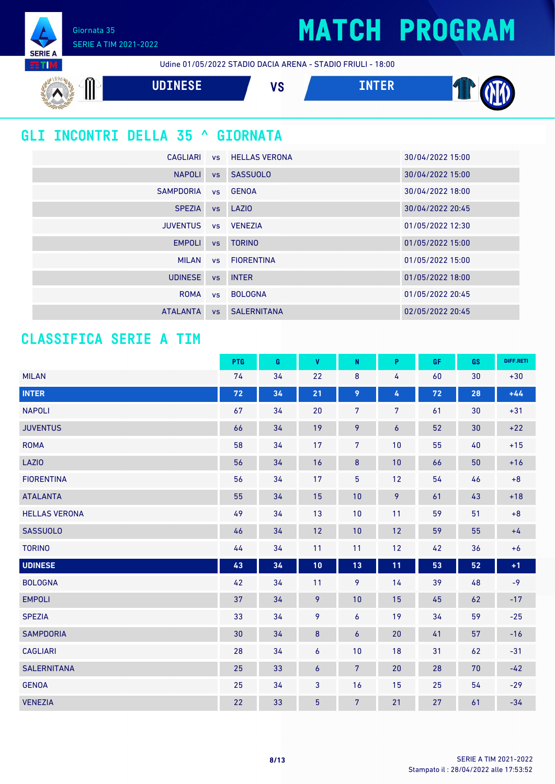Giornata 35 SERIE A TIM 2021-2022

**SERIE A ETIM** 

Udine 01/05/2022 STADIO DACIA ARENA - STADIO FRIULI - 18:00



### **GLI INCONTRI DELLA 35 ^ GIORNATA**

|                     |           | CAGLIARI VS HELLAS VERONA | 30/04/2022 15:00 |
|---------------------|-----------|---------------------------|------------------|
| <b>NAPOLI</b>       |           | vs SASSUOLO               | 30/04/2022 15:00 |
| SAMPDORIA VS GENOA  |           |                           | 30/04/2022 18:00 |
| <b>SPEZIA</b>       |           | vs LAZIO                  | 30/04/2022 20:45 |
| JUVENTUS vs VENEZIA |           |                           | 01/05/2022 12:30 |
| <b>EMPOLI</b>       |           | vs TORINO                 | 01/05/2022 15:00 |
| <b>MILAN</b>        |           | vs FIORENTINA             | 01/05/2022 15:00 |
| <b>UDINESE</b>      | <b>VS</b> | <b>INTER</b>              | 01/05/2022 18:00 |
| ROMA                |           | vs BOLOGNA                | 01/05/2022 20:45 |
| <b>ATALANTA</b>     |           | <b>vs</b> SALERNITANA     | 02/05/2022 20:45 |

#### **CLASSIFICA SERIE A TIM**

|                      | PTG | G  | $\pmb{\mathsf{V}}$ | N              | P  | GF | GS | DIFF.RETI |
|----------------------|-----|----|--------------------|----------------|----|----|----|-----------|
| <b>MILAN</b>         | 74  | 34 | 22                 | 8              | 4  | 60 | 30 | $+30$     |
| <b>INTER</b>         | 72  | 34 | 21                 | 9              | 4  | 72 | 28 | $+44$     |
| <b>NAPOLI</b>        | 67  | 34 | 20                 | $\overline{7}$ | 7  | 61 | 30 | $+31$     |
| <b>JUVENTUS</b>      | 66  | 34 | 19                 | 9              | 6  | 52 | 30 | $+22$     |
| <b>ROMA</b>          | 58  | 34 | 17                 | 7              | 10 | 55 | 40 | $+15$     |
| <b>LAZIO</b>         | 56  | 34 | 16                 | $\bf 8$        | 10 | 66 | 50 | $+16$     |
| <b>FIORENTINA</b>    | 56  | 34 | 17                 | 5              | 12 | 54 | 46 | $\bf +8$  |
| <b>ATALANTA</b>      | 55  | 34 | 15                 | 10             | 9  | 61 | 43 | $+18$     |
| <b>HELLAS VERONA</b> | 49  | 34 | 13                 | 10             | 11 | 59 | 51 | $\bf +8$  |
| <b>SASSUOLO</b>      | 46  | 34 | 12                 | 10             | 12 | 59 | 55 | $+4$      |
| <b>TORINO</b>        | 44  | 34 | 11                 | 11             | 12 | 42 | 36 | $+6$      |
| <b>UDINESE</b>       | 43  | 34 | 10                 | 13             | 11 | 53 | 52 | $+1$      |
| <b>BOLOGNA</b>       | 42  | 34 | 11                 | 9              | 14 | 39 | 48 | $-9$      |
| <b>EMPOLI</b>        | 37  | 34 | 9                  | 10             | 15 | 45 | 62 | $-17$     |
| <b>SPEZIA</b>        | 33  | 34 | 9                  | 6              | 19 | 34 | 59 | $-25$     |
| <b>SAMPDORIA</b>     | 30  | 34 | $\bf 8$            | 6              | 20 | 41 | 57 | $-16$     |
| <b>CAGLIARI</b>      | 28  | 34 | 6                  | 10             | 18 | 31 | 62 | $-31$     |
| <b>SALERNITANA</b>   | 25  | 33 | 6                  | $\overline{7}$ | 20 | 28 | 70 | $-42$     |
| <b>GENOA</b>         | 25  | 34 | 3                  | 16             | 15 | 25 | 54 | $-29$     |
| <b>VENEZIA</b>       | 22  | 33 | $\overline{5}$     | $7\phantom{.}$ | 21 | 27 | 61 | $-34$     |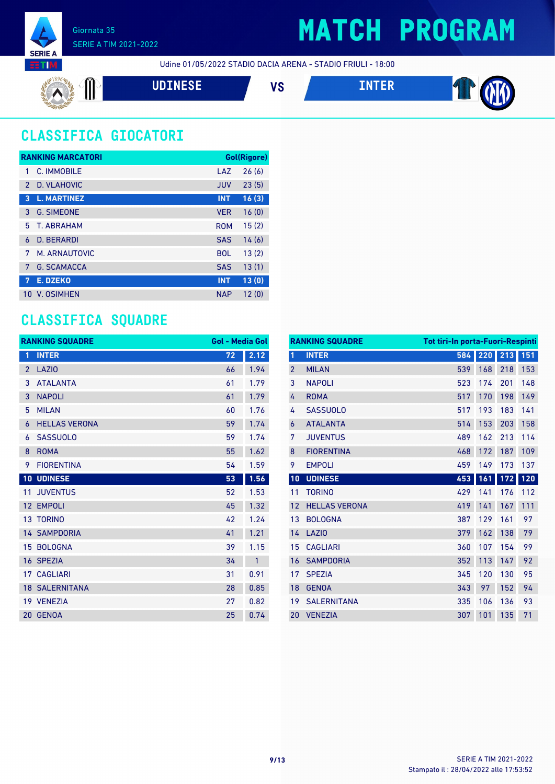

Udine 01/05/2022 STADIO DACIA ARENA - STADIO FRIULI - 18:00

$$
\mathbf{V} \mathbf{S} \qquad \qquad \mathbf{V} \mathbf{S} \qquad \qquad \mathbf{I} \mathbf{N} \mathbf{T} \mathbf{E} \mathbf{R} \qquad \qquad \mathbf{V} \mathbf{S} \qquad \qquad \mathbf{V} \mathbf{S} \qquad \qquad \mathbf{V} \mathbf{S} \qquad \qquad \mathbf{V} \mathbf{S} \qquad \qquad \mathbf{V} \mathbf{S} \qquad \qquad \mathbf{V} \mathbf{S} \qquad \qquad \mathbf{V} \mathbf{S} \qquad \qquad \mathbf{V} \mathbf{S} \qquad \qquad \mathbf{V} \mathbf{S} \qquad \qquad \mathbf{V} \mathbf{S} \qquad \qquad \mathbf{V} \mathbf{S} \qquad \qquad \mathbf{V} \mathbf{S} \qquad \qquad \mathbf{V} \mathbf{S} \qquad \qquad \mathbf{V} \mathbf{S} \qquad \qquad \mathbf{V} \mathbf{S} \qquad \qquad \mathbf{V} \mathbf{S} \qquad \qquad \mathbf{V} \mathbf{S} \qquad \qquad \mathbf{V} \mathbf{S} \qquad \qquad \mathbf{V} \mathbf{S} \qquad \qquad \mathbf{V} \mathbf{S} \qquad \qquad \mathbf{V} \mathbf{S} \qquad \qquad \mathbf{V} \mathbf{S} \qquad \qquad \mathbf{V} \mathbf{S} \qquad \qquad \mathbf{V} \mathbf{S} \qquad \qquad \mathbf{V} \mathbf{S} \qquad \qquad \mathbf{V} \mathbf{S} \qquad \qquad \mathbf{V} \mathbf{S} \qquad \qquad \mathbf{V} \mathbf{S} \qquad \qquad \mathbf{V} \mathbf{S} \qquad \qquad \mathbf{V} \mathbf{S} \qquad \qquad \mathbf{V} \mathbf{S} \qquad \qquad \mathbf{V} \mathbf{S} \qquad \qquad \mathbf{V} \mathbf{S} \qquad \qquad \mathbf{V} \mathbf{S} \qquad \qquad \mathbf{V} \mathbf{S} \qquad \qquad \mathbf{V} \mathbf{S} \qquad \qquad \mathbf{V} \mathbf{S} \qquad \qquad \mathbf{V} \mathbf{S} \qquad \qquad \mathbf{V
$$

### **CLASSIFICA GIOCATORI**

|               | <b>RANKING MARCATORI</b> |            | Gol(Rigore) |
|---------------|--------------------------|------------|-------------|
| 1             | C. IMMOBILE              | LAZ        | 26(6)       |
| $\mathcal{P}$ | D. VLAHOVIC              | <b>JUV</b> | 23(5)       |
| 3             | <b>L. MARTINEZ</b>       | <b>INT</b> | 16(3)       |
| 3             | <b>G. SIMEONE</b>        | <b>VER</b> | 16(0)       |
| 5             | <b>T. ABRAHAM</b>        | <b>ROM</b> | 15(2)       |
| 6             | <b>D. BERARDI</b>        | <b>SAS</b> | 14(6)       |
| 7             | M. ARNAUTOVIC            | <b>BOL</b> | 13(2)       |
| 7             | <b>G. SCAMACCA</b>       | <b>SAS</b> | 13(1)       |
| 7             | <b>E. DZEKO</b>          | <b>INT</b> | 13(0)       |
| 10            | V. OSIMHEN               | <b>NAP</b> | 12(0)       |

#### **CLASSIFICA SQUADRE**

|                 | <b>RANKING SQUADRE</b> | <b>Gol - Media Gol</b> |              |
|-----------------|------------------------|------------------------|--------------|
| 1               | <b>INTER</b>           | 72                     | 2.12         |
| $\overline{2}$  | <b>LAZIO</b>           | 66                     | 1.94         |
| 3               | <b>ATALANTA</b>        | 61                     | 1.79         |
| 3               | <b>NAPOLI</b>          | 61                     | 1.79         |
| 5               | <b>MILAN</b>           | 60                     | 1.76         |
| 6               | <b>HELLAS VERONA</b>   | 59                     | 1.74         |
| 6               | <b>SASSUOLO</b>        | 59                     | 1.74         |
| 8               | <b>ROMA</b>            | 55                     | 1.62         |
| 9               | <b>FIORENTINA</b>      | 54                     | 1.59         |
|                 | <b>10 UDINESE</b>      | 53                     | 1.56         |
| 11              | <b>JUVENTUS</b>        | 52                     | 1.53         |
| 12              | <b>EMPOLI</b>          | 45                     | 1.32         |
| 13 <sup>°</sup> | <b>TORINO</b>          | 42                     | 1.24         |
|                 | <b>14 SAMPDORIA</b>    | 41                     | 1.21         |
|                 | 15 BOLOGNA             | 39                     | 1.15         |
|                 | 16 SPEZIA              | 34                     | $\mathbf{1}$ |
|                 | <b>17 CAGLIARI</b>     | 31                     | 0.91         |
|                 | <b>18 SALERNITANA</b>  | 28                     | 0.85         |
|                 | 19 VENEZIA             | 27                     | 0.82         |
| 20              | <b>GENOA</b>           | 25                     | 0.74         |

| <b>RANKING SQUADRE</b><br><b>Tot tiri-In porta-Fuori-Respinti</b> |                      |     |     |     |     |
|-------------------------------------------------------------------|----------------------|-----|-----|-----|-----|
| 1                                                                 | <b>INTER</b>         | 584 | 220 | 213 | 151 |
| $\overline{2}$                                                    | <b>MILAN</b>         | 539 | 168 | 218 | 153 |
| 3                                                                 | <b>NAPOLI</b>        | 523 | 174 | 201 | 148 |
| 4                                                                 | <b>ROMA</b>          | 517 | 170 | 198 | 149 |
| 4                                                                 | <b>SASSUOLO</b>      | 517 | 193 | 183 | 141 |
| 6                                                                 | <b>ATALANTA</b>      | 514 | 153 | 203 | 158 |
| 7                                                                 | <b>JUVENTUS</b>      | 489 | 162 | 213 | 114 |
| 8                                                                 | <b>FIORENTINA</b>    | 468 | 172 | 187 | 109 |
| 9                                                                 | <b>EMPOLI</b>        | 459 | 149 | 173 | 137 |
| 10                                                                | <b>UDINESE</b>       | 453 | 161 | 172 | 120 |
| 11                                                                | <b>TORINO</b>        | 429 | 141 | 176 | 112 |
| 12                                                                | <b>HELLAS VERONA</b> | 419 | 141 | 167 | 111 |
| 13                                                                | <b>BOLOGNA</b>       | 387 | 129 | 161 | 97  |
| 14                                                                | <b>LAZIO</b>         | 379 | 162 | 138 | 79  |
| 15                                                                | <b>CAGLIARI</b>      | 360 | 107 | 154 | 99  |
| 16                                                                | <b>SAMPDORIA</b>     | 352 | 113 | 147 | 92  |
| 17                                                                | <b>SPEZIA</b>        | 345 | 120 | 130 | 95  |
| 18                                                                | <b>GENOA</b>         | 343 | 97  | 152 | 94  |
| 19                                                                | <b>SALERNITANA</b>   | 335 | 106 | 136 | 93  |
| 20                                                                | <b>VENEZIA</b>       | 307 | 101 | 135 | 71  |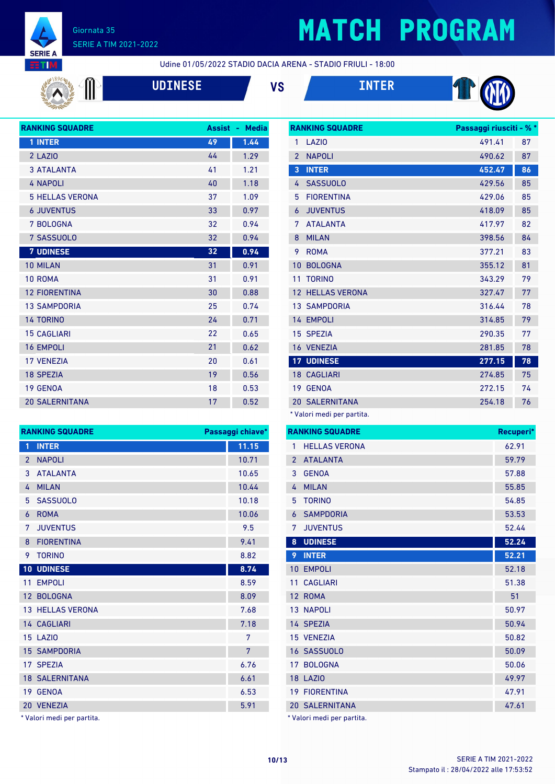

# **MATCH PROGRAM**

Udine 01/05/2022 STADIO DACIA ARENA - STADIO FRIULI - 18:00



**UDINESE VS INTER**







| 49 | 1.44 |
|----|------|
| 44 | 1.29 |
| 41 | 1.21 |
| 40 | 1.18 |
| 37 | 1.09 |
| 33 | 0.97 |
| 32 | 0.94 |
| 32 | 0.94 |
| 32 | 0.94 |
| 31 | 0.91 |
| 31 | 0.91 |
| 30 | 0.88 |
| 25 | 0.74 |
| 24 | 0.71 |
| 22 | 0.65 |
| 21 | 0.62 |
| 20 | 0.61 |
| 19 | 0.56 |
| 18 | 0.53 |
| 17 | 0.52 |
|    |      |

| <b>RANKING SQUADRE</b> |                         | Passaggi chiave* |
|------------------------|-------------------------|------------------|
| 1                      | <b>INTER</b>            | 11.15            |
| $\overline{2}$         | <b>NAPOLI</b>           | 10.71            |
| 3                      | <b>ATALANTA</b>         | 10.65            |
| 4                      | <b>MILAN</b>            | 10.44            |
| 5.                     | <b>SASSUOLO</b>         | 10.18            |
| 6                      | <b>ROMA</b>             | 10.06            |
| 7                      | <b>JUVENTUS</b>         | 9.5              |
| 8                      | <b>FIORENTINA</b>       | 9.41             |
| 9                      | <b>TORINO</b>           | 8.82             |
| 10                     | <b>UDINESE</b>          | 8.74             |
| 11                     | <b>EMPOLI</b>           | 8.59             |
|                        | 12 BOLOGNA              | 8.09             |
|                        | <b>13 HELLAS VERONA</b> | 7.68             |
|                        | 14 CAGLIARI             | 7.18             |
|                        | 15 LAZIO                | 7                |
|                        | <b>15 SAMPDORIA</b>     | 7                |
|                        | 17 SPEZIA               | 6.76             |
|                        | <b>18 SALERNITANA</b>   | 6.61             |
|                        | 19 GENOA                | 6.53             |
|                        | 20 VENEZIA              | 5.91             |

Valori medi per partita.

|                | <b>RANKING SQUADRE</b>     | Passaggi riusciti - % * |    |
|----------------|----------------------------|-------------------------|----|
| 1              | LAZI <sub>0</sub>          | 491.41                  | 87 |
| $\overline{2}$ | <b>NAPOLI</b>              | 490.62                  | 87 |
| 3              | <b>INTER</b>               | 452.47                  | 86 |
| 4              | <b>SASSUOLO</b>            | 429.56                  | 85 |
| 5              | <b>FIORENTINA</b>          | 429.06                  | 85 |
| 6              | <b>JUVENTUS</b>            | 418.09                  | 85 |
| 7              | <b>ATALANTA</b>            | 417.97                  | 82 |
| 8              | <b>MILAN</b>               | 398.56                  | 84 |
| 9              | <b>ROMA</b>                | 377.21                  | 83 |
| 10             | <b>BOLOGNA</b>             | 355.12                  | 81 |
| 11             | <b>TORINO</b>              | 343.29                  | 79 |
| 12             | <b>HELLAS VERONA</b>       | 327.47                  | 77 |
|                | <b>13 SAMPDORIA</b>        | 316.44                  | 78 |
|                | 14 EMPOLI                  | 314.85                  | 79 |
|                | 15 SPEZIA                  | 290.35                  | 77 |
|                | 16 VENEZIA                 | 281.85                  | 78 |
|                | <b>17 UDINESE</b>          | 277.15                  | 78 |
|                | <b>18 CAGLIARI</b>         | 274.85                  | 75 |
|                | 19 GENOA                   | 272.15                  | 74 |
|                | <b>20 SALERNITANA</b>      | 254.18                  | 76 |
|                | * Valori medi per partita. |                         |    |

|                | <b>RANKING SQUADRE</b>     | Recuperi* |
|----------------|----------------------------|-----------|
| 1              | <b>HELLAS VERONA</b>       | 62.91     |
| $\overline{2}$ | <b>ATALANTA</b>            | 59.79     |
| 3              | <b>GENOA</b>               | 57.88     |
| 4              | <b>MILAN</b>               | 55.85     |
| 5              | <b>TORINO</b>              | 54.85     |
| 6              | <b>SAMPDORIA</b>           | 53.53     |
| 7              | <b>JUVENTUS</b>            | 52.44     |
| 8              | <b>UDINESE</b>             | 52.24     |
| 9              | <b>INTER</b>               | 52.21     |
| 10             | <b>EMPOLI</b>              | 52.18     |
| 11             | <b>CAGLIARI</b>            | 51.38     |
|                | 12 ROMA                    | 51        |
|                | <b>13 NAPOLI</b>           | 50.97     |
|                | 14 SPEZIA                  | 50.94     |
|                | 15 VENEZIA                 | 50.82     |
|                | 16 SASSUOLO                | 50.09     |
|                | 17 BOLOGNA                 | 50.06     |
|                | <b>18 LAZIO</b>            | 49.97     |
|                | <b>19 FIORENTINA</b>       | 47.91     |
|                | <b>20 SALERNITANA</b>      | 47.61     |
|                | * Valori medi per partita. |           |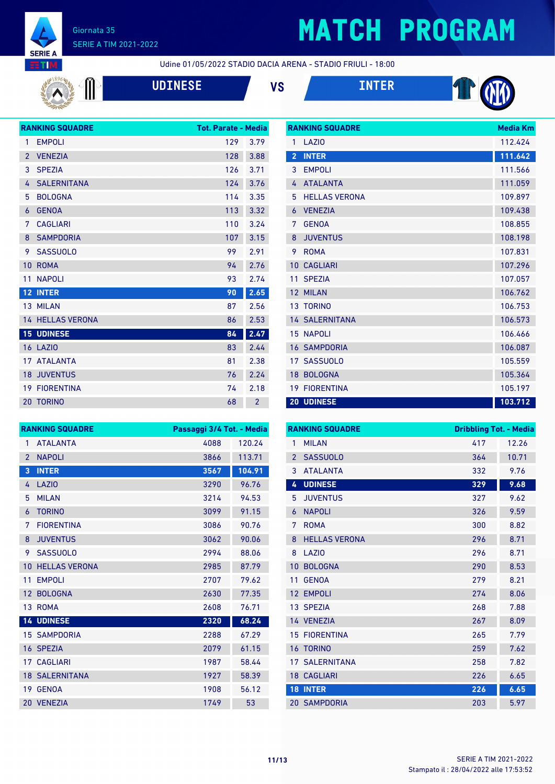

 $\textcolor{red}{\textcircled{\textsf{I}}}\ \blacksquare$ 

## **MATCH PROGRAM**

**RANKING SQUADRE Media Km** 

Udine 01/05/2022 STADIO DACIA ARENA - STADIO FRIULI - 18:00

|  | <b>UDI</b> |  |
|--|------------|--|
|  |            |  |

**UDINESE VS INTER**



|                 | <b>RANKING SQUADRE</b>  | <b>Tot. Parate - Media</b> |                |
|-----------------|-------------------------|----------------------------|----------------|
| 1               | <b>EMPOLI</b>           | 129                        | 3.79           |
| $\overline{2}$  | <b>VENEZIA</b>          | 128                        | 3.88           |
| 3               | <b>SPEZIA</b>           | 126                        | 3.71           |
| 4               | <b>SALERNITANA</b>      | 124                        | 3.76           |
| 5               | <b>BOLOGNA</b>          | 114                        | 3.35           |
| 6               | <b>GENOA</b>            | 113                        | 3.32           |
| 7               | <b>CAGLIARI</b>         | 110                        | 3.24           |
| 8               | <b>SAMPDORIA</b>        | 107                        | 3.15           |
| 9               | <b>SASSUOLO</b>         | 99                         | 2.91           |
| 10              | <b>ROMA</b>             | 94                         | 2.76           |
| 11              | <b>NAPOLI</b>           | 93                         | 2.74           |
| 12 <sub>2</sub> | <b>INTER</b>            | 90                         | 2.65           |
|                 | 13 MILAN                | 87                         | 2.56           |
|                 | <b>14 HELLAS VERONA</b> | 86                         | 2.53           |
| 15 <sub>1</sub> | <b>UDINESE</b>          | 84                         | 2.47           |
|                 | <b>16 LAZIO</b>         | 83                         | 2.44           |
| 17 <sup>2</sup> | <b>ATALANTA</b>         | 81                         | 2.38           |
| 18              | <b>JUVENTUS</b>         | 76                         | 2.24           |
|                 | <b>19 FIORENTINA</b>    | 74                         | 2.18           |
|                 | <b>20 TORINO</b>        | 68                         | $\overline{2}$ |

| 1               | LAZIO                 | 112.424 |
|-----------------|-----------------------|---------|
| $\overline{2}$  | <b>INTER</b>          | 111.642 |
| 3               | <b>EMPOLI</b>         | 111.566 |
| 4               | <b>ATALANTA</b>       | 111.059 |
| 5               | <b>HELLAS VERONA</b>  | 109.897 |
| 6               | <b>VENEZIA</b>        | 109.438 |
| 7               | <b>GENOA</b>          | 108.855 |
| 8               | <b>JUVENTUS</b>       | 108.198 |
| 9               | <b>ROMA</b>           | 107.831 |
| 10              | <b>CAGLIARI</b>       | 107.296 |
| 11              | <b>SPEZIA</b>         | 107.057 |
| 12 <sup>°</sup> | <b>MILAN</b>          | 106.762 |
|                 | <b>13 TORINO</b>      | 106.753 |
|                 | <b>14 SALERNITANA</b> | 106.573 |
| 15              | <b>NAPOLI</b>         | 106.466 |
|                 | <b>16 SAMPDORIA</b>   | 106.087 |
| 17 <sup>7</sup> | <b>SASSUOLO</b>       | 105.559 |
| 18              | <b>BOLOGNA</b>        | 105.364 |
| 19              | <b>FIORENTINA</b>     | 105.197 |
|                 | <b>20 UDINESE</b>     | 103.712 |

|                 | <b>RANKING SQUADRE</b> | Passaggi 3/4 Tot. - Media |        |
|-----------------|------------------------|---------------------------|--------|
| 1               | <b>ATALANTA</b>        | 4088                      | 120.24 |
| $\overline{2}$  | <b>NAPOLI</b>          | 3866                      | 113.71 |
| 3               | <b>INTER</b>           | 3567                      | 104.91 |
| 4               | LAZIO                  | 3290                      | 96.76  |
| 5               | <b>MILAN</b>           | 3214                      | 94.53  |
| 6               | <b>TORINO</b>          | 3099                      | 91.15  |
| 7               | <b>FIORENTINA</b>      | 3086                      | 90.76  |
| 8               | <b>JUVENTUS</b>        | 3062                      | 90.06  |
| 9               | <b>SASSUOLO</b>        | 2994                      | 88.06  |
| 10              | <b>HELLAS VERONA</b>   | 2985                      | 87.79  |
| 11              | <b>EMPOLI</b>          | 2707                      | 79.62  |
| 12 <sup>2</sup> | <b>BOLOGNA</b>         | 2630                      | 77.35  |
| 13              | <b>ROMA</b>            | 2608                      | 76.71  |
|                 | <b>14 UDINESE</b>      | 2320                      | 68.24  |
|                 | <b>15 SAMPDORIA</b>    | 2288                      | 67.29  |
|                 | 16 SPEZIA              | 2079                      | 61.15  |
|                 | <b>17 CAGLIARI</b>     | 1987                      | 58.44  |
|                 | <b>18 SALERNITANA</b>  | 1927                      | 58.39  |
|                 | 19 GENOA               | 1908                      | 56.12  |
|                 | 20 VENEZIA             | 1749                      | 53     |

| <b>RANKING SQUADRE</b> |                      |     | <b>Dribbling Tot. - Media</b> |  |
|------------------------|----------------------|-----|-------------------------------|--|
| 1                      | <b>MILAN</b>         | 417 | 12.26                         |  |
| $\overline{2}$         | <b>SASSUOLO</b>      | 364 | 10.71                         |  |
| 3                      | <b>ATALANTA</b>      | 332 | 9.76                          |  |
| 4                      | <b>UDINESE</b>       | 329 | 9.68                          |  |
| 5                      | <b>JUVENTUS</b>      | 327 | 9.62                          |  |
| 6                      | <b>NAPOLI</b>        | 326 | 9.59                          |  |
| 7                      | <b>ROMA</b>          | 300 | 8.82                          |  |
| 8                      | <b>HELLAS VERONA</b> | 296 | 8.71                          |  |
| 8                      | LAZIO                | 296 | 8.71                          |  |
| 10                     | <b>BOLOGNA</b>       | 290 | 8.53                          |  |
| 11                     | <b>GENOA</b>         | 279 | 8.21                          |  |
| 12                     | <b>EMPOLI</b>        | 274 | 8.06                          |  |
|                        | 13 SPEZIA            | 268 | 7.88                          |  |
|                        | 14 VENEZIA           | 267 | 8.09                          |  |
| 15                     | <b>FIORENTINA</b>    | 265 | 7.79                          |  |
| 16                     | <b>TORINO</b>        | 259 | 7.62                          |  |
| 17                     | <b>SALERNITANA</b>   | 258 | 7.82                          |  |
|                        | <b>18 CAGLIARI</b>   | 226 | 6.65                          |  |
| 18 <sup>°</sup>        | <b>INTER</b>         | 226 | 6.65                          |  |
|                        | <b>20 SAMPDORIA</b>  | 203 | 5.97                          |  |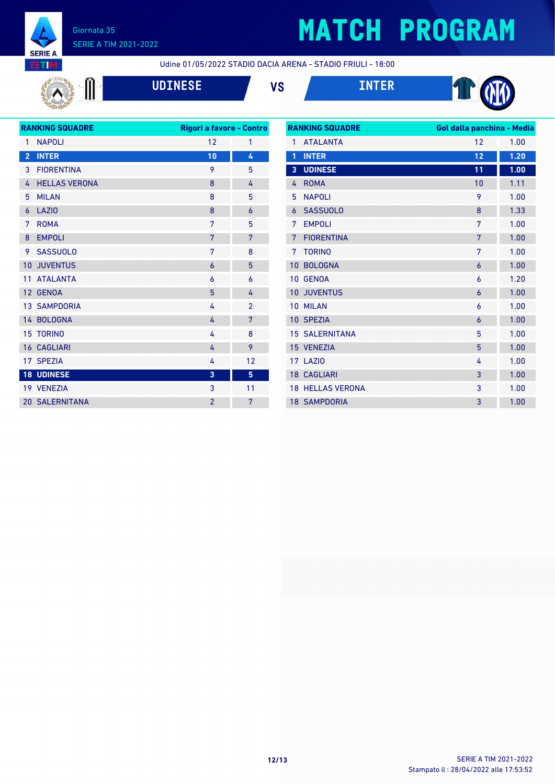

## **MATCH PROGRAM**

Udine 01/05/2022 STADIO DACIA ARENA - STADIO FRIULI - 18:00

$$
\mathbb{R}^n
$$

**UDINESE VS INTER**





| <b>RANKING SQUADRE</b> |                       | Rigori a favore - Contro |                |
|------------------------|-----------------------|--------------------------|----------------|
| 1                      | <b>NAPOLI</b>         | 12                       | 1              |
| $\overline{2}$         | <b>INTER</b>          | 10                       | 4              |
| 3                      | <b>FIORENTINA</b>     | 9                        | 5              |
| 4                      | <b>HELLAS VERONA</b>  | 8                        | 4              |
| 5                      | <b>MILAN</b>          | 8                        | 5              |
| 6                      | <b>LAZIO</b>          | 8                        | 6              |
| 7                      | <b>ROMA</b>           | 7                        | 5              |
| 8                      | <b>EMPOLI</b>         | 7                        | 7              |
| 9                      | <b>SASSUOLO</b>       | 7                        | 8              |
| $10-1$                 | <b>JUVENTUS</b>       | 6                        | 5              |
| 11                     | <b>ATALANTA</b>       | 6                        | 6              |
| 12 <sup>2</sup>        | <b>GENOA</b>          | 5                        | 4              |
|                        | <b>13 SAMPDORIA</b>   | 4                        | $\mathfrak{p}$ |
|                        | 14 BOLOGNA            | 4                        | 7              |
|                        | <b>15 TORINO</b>      | 4                        | 8              |
|                        | <b>16 CAGLIARI</b>    | 4                        | 9              |
|                        | 17 SPEZIA             | 4                        | 12             |
|                        | <b>18 UDINESE</b>     | $\overline{3}$           | 5              |
|                        | 19 VENEZIA            | 3                        | 11             |
|                        | <b>20 SALERNITANA</b> | $\overline{2}$           | 7              |
|                        |                       |                          |                |

| <b>RANKING SQUADRE</b> |                         | Gol dalla panchina - Media |      |
|------------------------|-------------------------|----------------------------|------|
| 1                      | <b>ATALANTA</b>         | 12                         | 1.00 |
| 1                      | <b>INTER</b>            | 12                         | 1.20 |
| $\overline{3}$         | <b>UDINESE</b>          | 11                         | 1.00 |
| 4                      | <b>ROMA</b>             | 10                         | 1.11 |
| 5                      | <b>NAPOLI</b>           | 9                          | 1.00 |
| 6                      | <b>SASSUOLO</b>         | 8                          | 1.33 |
| 7                      | <b>EMPOLI</b>           | 7                          | 1.00 |
| 7                      | <b>FIORENTINA</b>       | 7                          | 1.00 |
| 7                      | <b>TORINO</b>           | 7                          | 1.00 |
| 10                     | <b>BOLOGNA</b>          | $\overline{6}$             | 1.00 |
| 10                     | <b>GENOA</b>            | 6                          | 1.20 |
| 10                     | <b>JUVENTUS</b>         | $\overline{6}$             | 1.00 |
| 10                     | <b>MILAN</b>            | 6                          | 1.00 |
|                        | 10 SPEZIA               | 6                          | 1.00 |
| 15                     | <b>SALERNITANA</b>      | 5                          | 1.00 |
| 15                     | <b>VENEZIA</b>          | 5                          | 1.00 |
|                        | 17 LAZIO                | 4                          | 1.00 |
|                        | <b>18 CAGLIARI</b>      | 3                          | 1.00 |
|                        | <b>18 HELLAS VERONA</b> | 3                          | 1.00 |
|                        | <b>18 SAMPDORIA</b>     | 3                          | 1.00 |